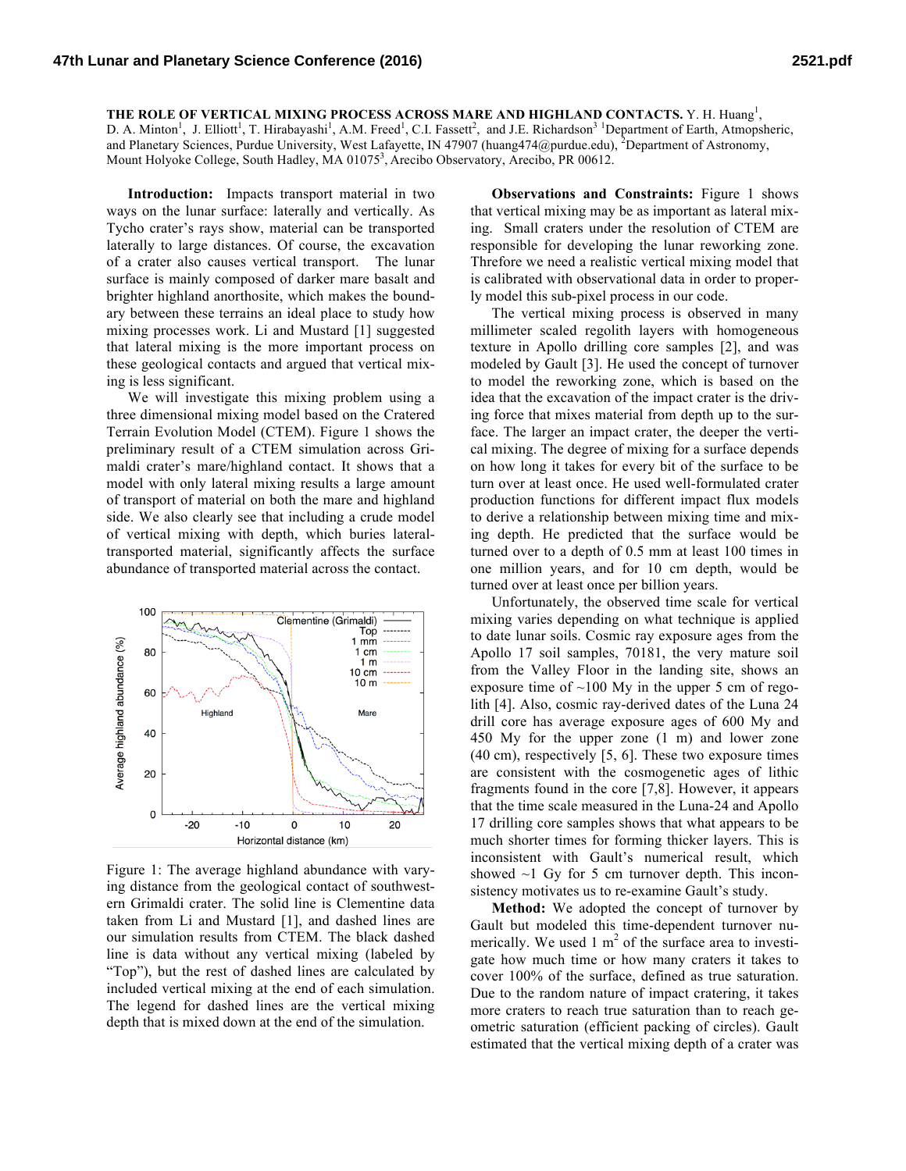THE ROLE OF VERTICAL MIXING PROCESS ACROSS MARE AND HIGHLAND CONTACTS. Y. H. Huang<sup>1</sup>, D. A. Minton<sup>1</sup>, J. Elliott<sup>1</sup>, T. Hirabayashi<sup>1</sup>, A.M. Freed<sup>1</sup>, C.I. Fassett<sup>2</sup>, and J.E. Richardson<sup>3</sup> Department of Earth, Atmopsheric, and Planetary Sciences, Purdue University, West Lafayette, IN 47907 (huang474@purdue.edu), <sup>2</sup>Department of Astronomy, Mount Holyoke College, South Hadley, MA 01075<sup>3</sup>, Arecibo Observatory, Arecibo, PR 00612.

**Introduction:** Impacts transport material in two ways on the lunar surface: laterally and vertically. As Tycho crater's rays show, material can be transported laterally to large distances. Of course, the excavation of a crater also causes vertical transport. The lunar surface is mainly composed of darker mare basalt and brighter highland anorthosite, which makes the boundary between these terrains an ideal place to study how mixing processes work. Li and Mustard [1] suggested that lateral mixing is the more important process on these geological contacts and argued that vertical mixing is less significant.

We will investigate this mixing problem using a three dimensional mixing model based on the Cratered Terrain Evolution Model (CTEM). Figure 1 shows the preliminary result of a CTEM simulation across Grimaldi crater's mare/highland contact. It shows that a model with only lateral mixing results a large amount of transport of material on both the mare and highland side. We also clearly see that including a crude model of vertical mixing with depth, which buries lateraltransported material, significantly affects the surface abundance of transported material across the contact.



Figure 1: The average highland abundance with varying distance from the geological contact of southwestern Grimaldi crater. The solid line is Clementine data taken from Li and Mustard [1], and dashed lines are our simulation results from CTEM. The black dashed line is data without any vertical mixing (labeled by "Top"), but the rest of dashed lines are calculated by included vertical mixing at the end of each simulation. The legend for dashed lines are the vertical mixing depth that is mixed down at the end of the simulation.

**Observations and Constraints:** Figure 1 shows that vertical mixing may be as important as lateral mixing. Small craters under the resolution of CTEM are responsible for developing the lunar reworking zone. Threfore we need a realistic vertical mixing model that is calibrated with observational data in order to properly model this sub-pixel process in our code.

The vertical mixing process is observed in many millimeter scaled regolith layers with homogeneous texture in Apollo drilling core samples [2], and was modeled by Gault [3]. He used the concept of turnover to model the reworking zone, which is based on the idea that the excavation of the impact crater is the driving force that mixes material from depth up to the surface. The larger an impact crater, the deeper the vertical mixing. The degree of mixing for a surface depends on how long it takes for every bit of the surface to be turn over at least once. He used well-formulated crater production functions for different impact flux models to derive a relationship between mixing time and mixing depth. He predicted that the surface would be turned over to a depth of 0.5 mm at least 100 times in one million years, and for 10 cm depth, would be turned over at least once per billion years.

Unfortunately, the observed time scale for vertical mixing varies depending on what technique is applied to date lunar soils. Cosmic ray exposure ages from the Apollo 17 soil samples, 70181, the very mature soil from the Valley Floor in the landing site, shows an exposure time of  $\sim$ 100 My in the upper 5 cm of regolith [4]. Also, cosmic ray-derived dates of the Luna 24 drill core has average exposure ages of 600 My and 450 My for the upper zone (1 m) and lower zone (40 cm), respectively [5, 6]. These two exposure times are consistent with the cosmogenetic ages of lithic fragments found in the core [7,8]. However, it appears that the time scale measured in the Luna-24 and Apollo 17 drilling core samples shows that what appears to be much shorter times for forming thicker layers. This is inconsistent with Gault's numerical result, which showed  $\sim$ 1 Gy for 5 cm turnover depth. This inconsistency motivates us to re-examine Gault's study.

**Method:** We adopted the concept of turnover by Gault but modeled this time-dependent turnover numerically. We used 1  $m<sup>2</sup>$  of the surface area to investigate how much time or how many craters it takes to cover 100% of the surface, defined as true saturation. Due to the random nature of impact cratering, it takes more craters to reach true saturation than to reach geometric saturation (efficient packing of circles). Gault estimated that the vertical mixing depth of a crater was